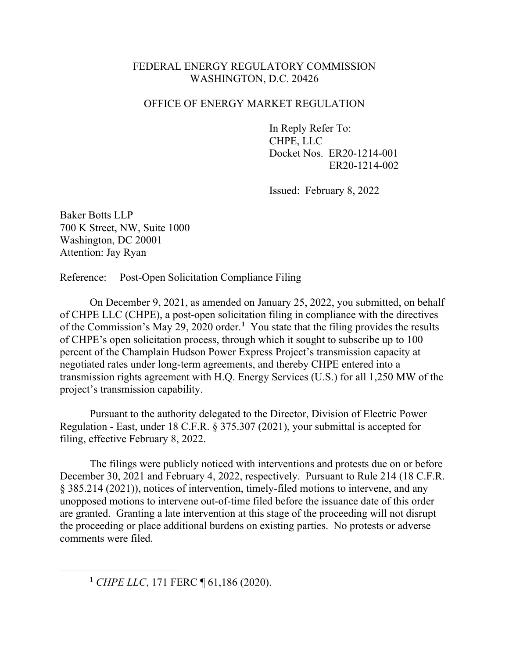## FEDERAL ENERGY REGULATORY COMMISSION WASHINGTON, D.C. 20426

## OFFICE OF ENERGY MARKET REGULATION

In Reply Refer To: CHPE, LLC Docket Nos. ER20-1214-001 ER20-1214-002

Issued: February 8, 2022

Baker Botts LLP 700 K Street, NW, Suite 1000 Washington, DC 20001 Attention: Jay Ryan

Reference: Post-Open Solicitation Compliance Filing

On December 9, 2021, as amended on January 25, 2022, you submitted, on behalf of CHPE LLC (CHPE), a post-open solicitation filing in compliance with the directives of the Commission's May 29, 2020 order.<sup>[1](#page-0-0)</sup> You state that the filing provides the results of CHPE's open solicitation process, through which it sought to subscribe up to 100 percent of the Champlain Hudson Power Express Project's transmission capacity at negotiated rates under long-term agreements, and thereby CHPE entered into a transmission rights agreement with H.Q. Energy Services (U.S.) for all 1,250 MW of the project's transmission capability.

Pursuant to the authority delegated to the Director, Division of Electric Power Regulation - East, under 18 C.F.R. § 375.307 (2021), your submittal is accepted for filing, effective February 8, 2022.

The filings were publicly noticed with interventions and protests due on or before December 30, 2021 and February 4, 2022, respectively. Pursuant to Rule 214 (18 C.F.R. § 385.214 (2021)), notices of intervention, timely-filed motions to intervene, and any unopposed motions to intervene out-of-time filed before the issuance date of this order are granted. Granting a late intervention at this stage of the proceeding will not disrupt the proceeding or place additional burdens on existing parties. No protests or adverse comments were filed.

<span id="page-0-0"></span>**<sup>1</sup>** *CHPE LLC*, 171 FERC ¶ 61,186 (2020).